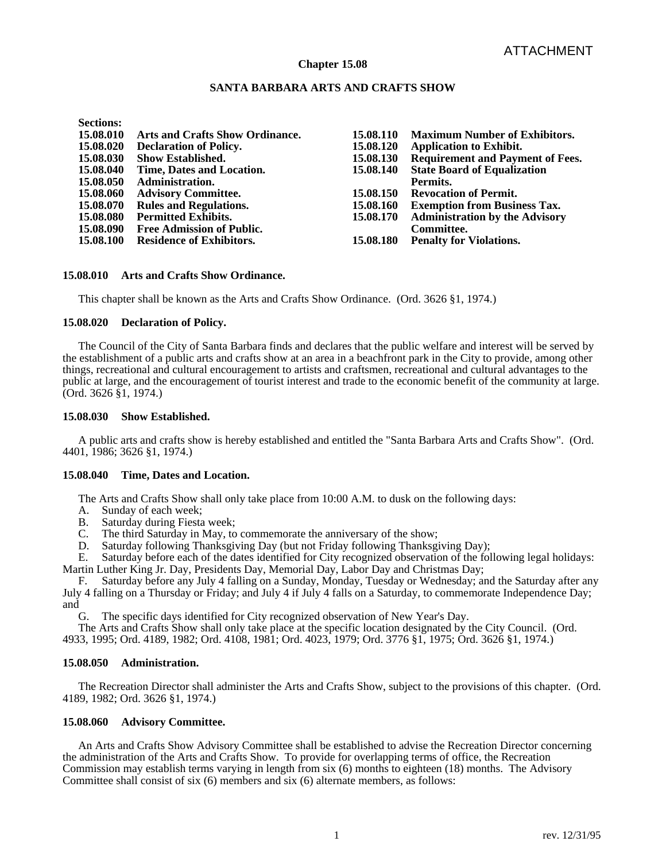## **Chapter 15.08**

# **SANTA BARBARA ARTS AND CRAFTS SHOW**

**Sections:** 

| 15.08.010 | Arts and Crafts Show Ordinance.  | 15.08.110 | <b>Maximum Number of Exhibitors.</b>    |
|-----------|----------------------------------|-----------|-----------------------------------------|
| 15.08.020 | <b>Declaration of Policy.</b>    | 15.08.120 | <b>Application to Exhibit.</b>          |
| 15.08.030 | <b>Show Established.</b>         | 15.08.130 | <b>Requirement and Payment of Fees.</b> |
| 15.08.040 | Time, Dates and Location.        | 15.08.140 | <b>State Board of Equalization</b>      |
| 15.08.050 | <b>Administration.</b>           |           | Permits.                                |
| 15.08.060 | <b>Advisory Committee.</b>       | 15.08.150 | <b>Revocation of Permit.</b>            |
| 15.08.070 | <b>Rules and Regulations.</b>    | 15.08.160 | <b>Exemption from Business Tax.</b>     |
| 15.08.080 | <b>Permitted Exhibits.</b>       | 15.08.170 | <b>Administration by the Advisory</b>   |
| 15.08.090 | <b>Free Admission of Public.</b> |           | Committee.                              |
| 15.08.100 | <b>Residence of Exhibitors.</b>  | 15.08.180 | <b>Penalty for Violations.</b>          |
|           |                                  |           |                                         |

# **15.08.010 Arts and Crafts Show Ordinance.**

This chapter shall be known as the Arts and Crafts Show Ordinance. (Ord. 3626 §1, 1974.)

## **15.08.020 Declaration of Policy.**

 The Council of the City of Santa Barbara finds and declares that the public welfare and interest will be served by the establishment of a public arts and crafts show at an area in a beachfront park in the City to provide, among other things, recreational and cultural encouragement to artists and craftsmen, recreational and cultural advantages to the public at large, and the encouragement of tourist interest and trade to the economic benefit of the community at large. (Ord. 3626 §1, 1974.)

## **15.08.030 Show Established.**

 A public arts and crafts show is hereby established and entitled the "Santa Barbara Arts and Crafts Show". (Ord. 4401, 1986; 3626 §1, 1974.)

## **15.08.040 Time, Dates and Location.**

The Arts and Crafts Show shall only take place from 10:00 A.M. to dusk on the following days:

- A. Sunday of each week;<br>B. Saturday during Fiesta
- Saturday during Fiesta week:
- C. The third Saturday in May, to commemorate the anniversary of the show;
- D. Saturday following Thanksgiving Day (but not Friday following Thanksgiving Day);

 E. Saturday before each of the dates identified for City recognized observation of the following legal holidays: Martin Luther King Jr. Day, Presidents Day, Memorial Day, Labor Day and Christmas Day;

 F. Saturday before any July 4 falling on a Sunday, Monday, Tuesday or Wednesday; and the Saturday after any July 4 falling on a Thursday or Friday; and July 4 if July 4 falls on a Saturday, to commemorate Independence Day; and

G. The specific days identified for City recognized observation of New Year's Day.

 The Arts and Crafts Show shall only take place at the specific location designated by the City Council. (Ord. 4933, 1995; Ord. 4189, 1982; Ord. 4108, 1981; Ord. 4023, 1979; Ord. 3776 §1, 1975; Ord. 3626 §1, 1974.)

## **15.08.050 Administration.**

 The Recreation Director shall administer the Arts and Crafts Show, subject to the provisions of this chapter. (Ord. 4189, 1982; Ord. 3626 §1, 1974.)

## **15.08.060 Advisory Committee.**

 An Arts and Crafts Show Advisory Committee shall be established to advise the Recreation Director concerning the administration of the Arts and Crafts Show. To provide for overlapping terms of office, the Recreation Commission may establish terms varying in length from six (6) months to eighteen (18) months. The Advisory Committee shall consist of six (6) members and six (6) alternate members, as follows: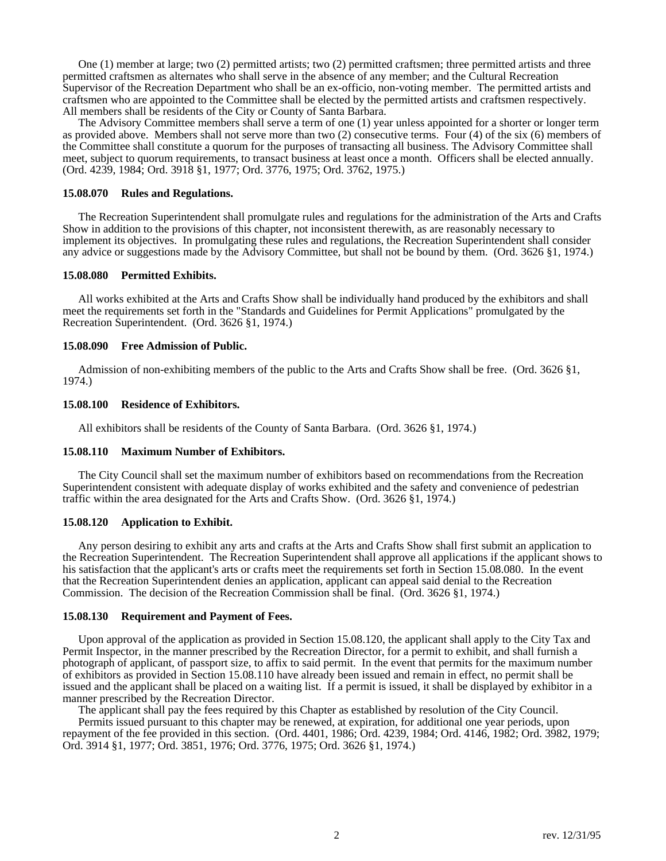One (1) member at large; two (2) permitted artists; two (2) permitted craftsmen; three permitted artists and three permitted craftsmen as alternates who shall serve in the absence of any member; and the Cultural Recreation Supervisor of the Recreation Department who shall be an ex-officio, non-voting member. The permitted artists and craftsmen who are appointed to the Committee shall be elected by the permitted artists and craftsmen respectively. All members shall be residents of the City or County of Santa Barbara.

 The Advisory Committee members shall serve a term of one (1) year unless appointed for a shorter or longer term as provided above. Members shall not serve more than two (2) consecutive terms. Four (4) of the six (6) members of the Committee shall constitute a quorum for the purposes of transacting all business. The Advisory Committee shall meet, subject to quorum requirements, to transact business at least once a month. Officers shall be elected annually. (Ord. 4239, 1984; Ord. 3918 §1, 1977; Ord. 3776, 1975; Ord. 3762, 1975.)

#### **15.08.070 Rules and Regulations.**

 The Recreation Superintendent shall promulgate rules and regulations for the administration of the Arts and Crafts Show in addition to the provisions of this chapter, not inconsistent therewith, as are reasonably necessary to implement its objectives. In promulgating these rules and regulations, the Recreation Superintendent shall consider any advice or suggestions made by the Advisory Committee, but shall not be bound by them. (Ord. 3626 §1, 1974.)

#### **15.08.080 Permitted Exhibits.**

 All works exhibited at the Arts and Crafts Show shall be individually hand produced by the exhibitors and shall meet the requirements set forth in the "Standards and Guidelines for Permit Applications" promulgated by the Recreation Superintendent. (Ord. 3626 §1, 1974.)

## **15.08.090 Free Admission of Public.**

 Admission of non-exhibiting members of the public to the Arts and Crafts Show shall be free. (Ord. 3626 §1, 1974.)

#### **15.08.100 Residence of Exhibitors.**

All exhibitors shall be residents of the County of Santa Barbara. (Ord. 3626 §1, 1974.)

## **15.08.110 Maximum Number of Exhibitors.**

 The City Council shall set the maximum number of exhibitors based on recommendations from the Recreation Superintendent consistent with adequate display of works exhibited and the safety and convenience of pedestrian traffic within the area designated for the Arts and Crafts Show. (Ord. 3626 §1, 1974.)

#### **15.08.120 Application to Exhibit.**

 Any person desiring to exhibit any arts and crafts at the Arts and Crafts Show shall first submit an application to the Recreation Superintendent. The Recreation Superintendent shall approve all applications if the applicant shows to his satisfaction that the applicant's arts or crafts meet the requirements set forth in Section 15.08.080. In the event that the Recreation Superintendent denies an application, applicant can appeal said denial to the Recreation Commission. The decision of the Recreation Commission shall be final. (Ord. 3626 §1, 1974.)

## **15.08.130 Requirement and Payment of Fees.**

 Upon approval of the application as provided in Section 15.08.120, the applicant shall apply to the City Tax and Permit Inspector, in the manner prescribed by the Recreation Director, for a permit to exhibit, and shall furnish a photograph of applicant, of passport size, to affix to said permit. In the event that permits for the maximum number of exhibitors as provided in Section 15.08.110 have already been issued and remain in effect, no permit shall be issued and the applicant shall be placed on a waiting list. If a permit is issued, it shall be displayed by exhibitor in a manner prescribed by the Recreation Director.

 The applicant shall pay the fees required by this Chapter as established by resolution of the City Council. Permits issued pursuant to this chapter may be renewed, at expiration, for additional one year periods, upon repayment of the fee provided in this section. (Ord. 4401, 1986; Ord. 4239, 1984; Ord. 4146, 1982; Ord. 3982, 1979; Ord. 3914 §1, 1977; Ord. 3851, 1976; Ord. 3776, 1975; Ord. 3626 §1, 1974.)